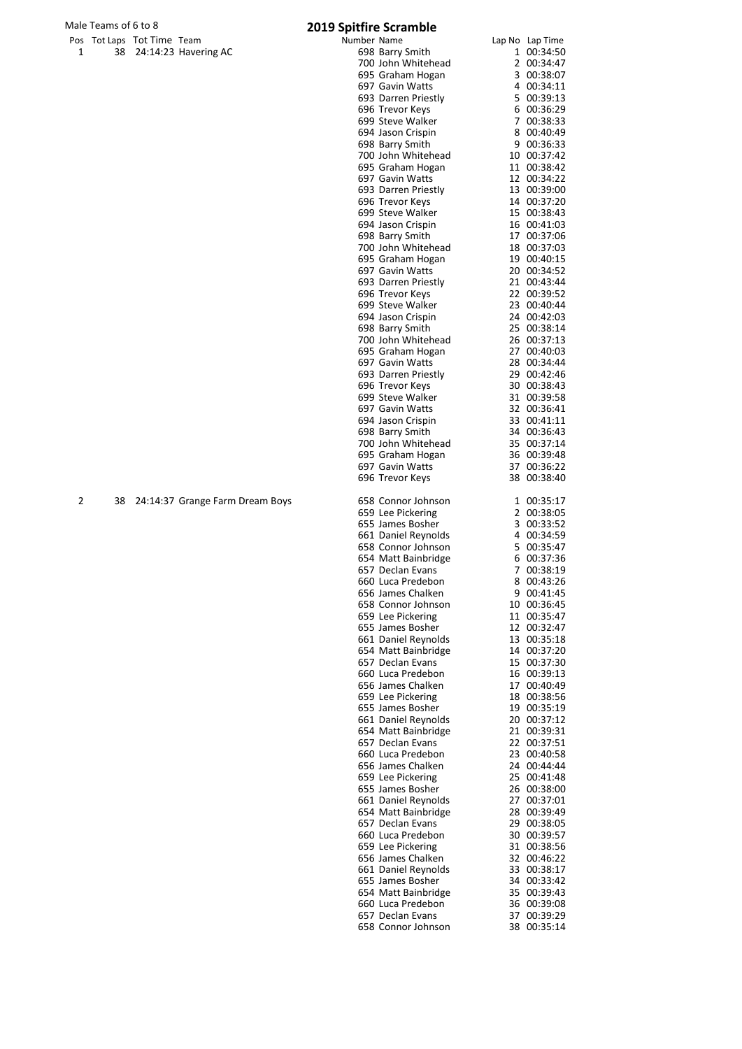# Male Teams of 6 to 8<br>
Pos Tot Laps Tot Time Team **2019 Spitfire Scrambl**<br>
Number Name

|   | viale Teams of 6 to 8 |                            |                                 | 2019 Spitfire Scramble |                                        |                            |
|---|-----------------------|----------------------------|---------------------------------|------------------------|----------------------------------------|----------------------------|
|   |                       | Pos Tot Laps Tot Time Team |                                 | Number Name            |                                        | Lap No Lap Time            |
| 1 |                       |                            | 38 24:14:23 Havering AC         |                        | 698 Barry Smith                        | 1 00:34:50                 |
|   |                       |                            |                                 |                        | 700 John Whitehead                     | 2 00:34:47                 |
|   |                       |                            |                                 |                        | 695 Graham Hogan                       | 3 00:38:07                 |
|   |                       |                            |                                 |                        | 697 Gavin Watts                        | 4 00:34:11                 |
|   |                       |                            |                                 |                        | 693 Darren Priestly                    | 5 00:39:13                 |
|   |                       |                            |                                 |                        | 696 Trevor Keys                        | 6 00:36:29                 |
|   |                       |                            |                                 |                        | 699 Steve Walker                       | 7 00:38:33<br>8 00:40:49   |
|   |                       |                            |                                 |                        | 694 Jason Crispin                      |                            |
|   |                       |                            |                                 |                        | 698 Barry Smith                        | 9 00:36:33                 |
|   |                       |                            |                                 |                        | 700 John Whitehead<br>695 Graham Hogan | 10 00:37:42<br>11 00:38:42 |
|   |                       |                            |                                 |                        |                                        |                            |
|   |                       |                            |                                 |                        | 697 Gavin Watts                        | 12 00:34:22                |
|   |                       |                            |                                 |                        | 693 Darren Priestly                    | 13 00:39:00<br>14 00:37:20 |
|   |                       |                            |                                 |                        | 696 Trevor Keys                        |                            |
|   |                       |                            |                                 |                        | 699 Steve Walker                       | 15 00:38:43                |
|   |                       |                            |                                 |                        | 694 Jason Crispin                      | 16 00:41:03                |
|   |                       |                            |                                 |                        | 698 Barry Smith                        | 17 00:37:06                |
|   |                       |                            |                                 |                        | 700 John Whitehead                     | 18 00:37:03                |
|   |                       |                            |                                 |                        | 695 Graham Hogan                       | 19 00:40:15<br>20 00:34:52 |
|   |                       |                            |                                 |                        | 697 Gavin Watts                        | 21 00:43:44                |
|   |                       |                            |                                 |                        | 693 Darren Priestly                    | 22 00:39:52                |
|   |                       |                            |                                 |                        | 696 Trevor Keys<br>699 Steve Walker    | 23 00:40:44                |
|   |                       |                            |                                 |                        | 694 Jason Crispin                      | 24 00:42:03                |
|   |                       |                            |                                 |                        | 698 Barry Smith                        |                            |
|   |                       |                            |                                 |                        | 700 John Whitehead                     | 25 00:38:14<br>26 00:37:13 |
|   |                       |                            |                                 |                        |                                        | 27 00:40:03                |
|   |                       |                            |                                 |                        | 695 Graham Hogan                       |                            |
|   |                       |                            |                                 |                        | 697 Gavin Watts                        | 28 00:34:44<br>29 00:42:46 |
|   |                       |                            |                                 |                        | 693 Darren Priestly                    | 30 00:38:43                |
|   |                       |                            |                                 |                        | 696 Trevor Keys<br>699 Steve Walker    | 31 00:39:58                |
|   |                       |                            |                                 |                        | 697 Gavin Watts                        | 32 00:36:41                |
|   |                       |                            |                                 |                        |                                        | 33 00:41:11                |
|   |                       |                            |                                 |                        | 694 Jason Crispin<br>698 Barry Smith   | 34 00:36:43                |
|   |                       |                            |                                 |                        |                                        |                            |
|   |                       |                            |                                 |                        | 700 John Whitehead                     | 35 00:37:14<br>36 00:39:48 |
|   |                       |                            |                                 |                        | 695 Graham Hogan<br>697 Gavin Watts    | 37 00:36:22                |
|   |                       |                            |                                 |                        | 696 Trevor Keys                        | 38 00:38:40                |
| 2 | 38                    |                            | 24:14:37 Grange Farm Dream Boys |                        | 658 Connor Johnson                     | 1 00:35:17                 |
|   |                       |                            |                                 |                        | 659 Lee Pickering                      | 2 00:38:05                 |
|   |                       |                            |                                 |                        | 655 James Bosher                       | 3 00:33:52                 |
|   |                       |                            |                                 |                        | 661 Daniel Reynolds                    | 4 00:34:59                 |
|   |                       |                            |                                 |                        | 658 Connor Johnson                     | 5 00:35:47                 |
|   |                       |                            |                                 |                        | 654 Matt Bainbridge                    | 6 00:37:36                 |
|   |                       |                            |                                 |                        | 657 Declan Evans                       | 7 00:38:19                 |
|   |                       |                            |                                 |                        | 660 Luca Predebon                      | 8 00:43:26                 |
|   |                       |                            |                                 |                        | 656 James Chalken                      | 9 00:41:45                 |
|   |                       |                            |                                 |                        | 658 Connor Johnson                     | 10 00:36:45                |
|   |                       |                            |                                 |                        | 659 Lee Pickering                      | 11 00:35:47                |
|   |                       |                            |                                 |                        | 655 James Bosher                       | 12 00:32:47                |
|   |                       |                            |                                 |                        | 661 Daniel Reynolds                    | 13 00:35:18                |
|   |                       |                            |                                 |                        | 654 Matt Bainbridge                    | 14 00:37:20                |
|   |                       |                            |                                 |                        | 657 Declan Evans                       | 15 00:37:30                |
|   |                       |                            |                                 |                        | 660 Luca Predebon                      | 16 00:39:13                |
|   |                       |                            |                                 |                        | 656 James Chalken                      | 17 00:40:49                |
|   |                       |                            |                                 |                        | 659 Lee Pickering                      | 18 00:38:56                |
|   |                       |                            |                                 |                        | 655 James Bosher                       | 19 00:35:19                |
|   |                       |                            |                                 |                        | 661 Daniel Reynolds                    | 20 00:37:12                |
|   |                       |                            |                                 |                        | 654 Matt Bainbridge                    | 21 00:39:31                |
|   |                       |                            |                                 |                        | 657 Declan Evans                       | 22 00:37:51                |
|   |                       |                            |                                 |                        | 660 Luca Predebon                      | 23 00:40:58                |
|   |                       |                            |                                 |                        | 656 James Chalken                      | 24 00:44:44                |
|   |                       |                            |                                 |                        | 659 Lee Pickering                      | 25 00:41:48                |
|   |                       |                            |                                 |                        | 655 James Bosher                       | 26 00:38:00                |
|   |                       |                            |                                 |                        | 661 Daniel Reynolds                    | 27 00:37:01                |
|   |                       |                            |                                 |                        | 654 Matt Bainbridge                    | 28 00:39:49                |
|   |                       |                            |                                 |                        | 657 Declan Evans                       | 29 00:38:05                |
|   |                       |                            |                                 |                        | 660 Luca Predebon                      | 30 00:39:57                |
|   |                       |                            |                                 |                        | 659 Lee Pickering                      | 31 00:38:56                |
|   |                       |                            |                                 |                        | 656 James Chalken                      | 32 00:46:22                |
|   |                       |                            |                                 |                        | 661 Daniel Reynolds                    | 33 00:38:17                |
|   |                       |                            |                                 |                        | 655 James Bosher                       | 34 00:33:42                |
|   |                       |                            |                                 |                        | 654 Matt Bainbridge                    | 35 00:39:43                |
|   |                       |                            |                                 |                        | 660 Luca Predebon                      | 36 00:39:08                |
|   |                       |                            |                                 |                        | 657 Declan Evans                       | 37 00:39:29                |
|   |                       |                            |                                 |                        | 658 Connor Johnson                     | 38 00:35:14                |
|   |                       |                            |                                 |                        |                                        |                            |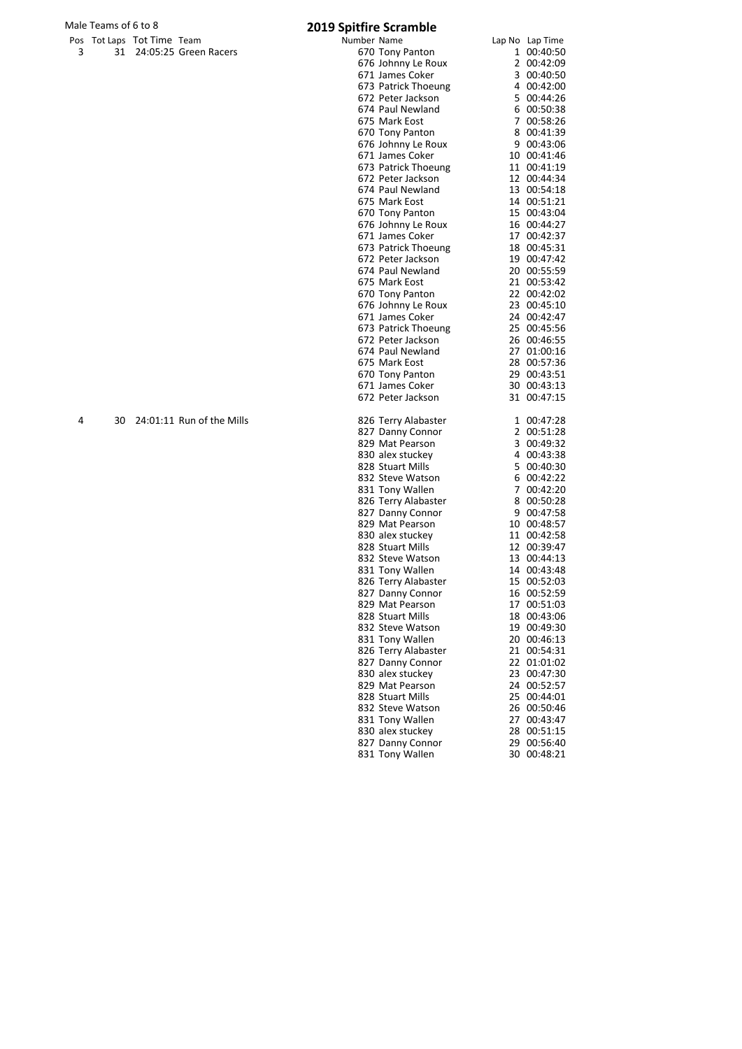# Male Teams of 6 to 8<br>
Pos Tot Laps Tot Time Team **2019 Spitfire Scramble**

| . | . <b>.</b> |                          |
|---|------------|--------------------------|
|   |            | 31 24:05:25 Green Racers |

|   | viale Teariis of 6 to 8 |                            |                           | 2019 Spitfire Scramble |                                       |                            |
|---|-------------------------|----------------------------|---------------------------|------------------------|---------------------------------------|----------------------------|
|   |                         | Pos Tot Laps Tot Time Team |                           | Number Name            |                                       | Lap No Lap Time            |
| 3 |                         |                            | 31 24:05:25 Green Racers  |                        | 670 Tony Panton                       | 1 00:40:50                 |
|   |                         |                            |                           |                        | 676 Johnny Le Roux                    | 2 00:42:09                 |
|   |                         |                            |                           |                        | 671 James Coker                       | 3 00:40:50                 |
|   |                         |                            |                           |                        | 673 Patrick Thoeung                   | 4 00:42:00                 |
|   |                         |                            |                           |                        | 672 Peter Jackson                     | 5 00:44:26                 |
|   |                         |                            |                           |                        | 674 Paul Newland                      | 6 00:50:38                 |
|   |                         |                            |                           |                        | 675 Mark Eost                         | 7 00:58:26                 |
|   |                         |                            |                           |                        | 670 Tony Panton                       | 8 00:41:39                 |
|   |                         |                            |                           |                        | 676 Johnny Le Roux                    | 9 00:43:06                 |
|   |                         |                            |                           |                        | 671 James Coker                       | 10 00:41:46<br>11 00:41:19 |
|   |                         |                            |                           |                        | 673 Patrick Thoeung                   | 12 00:44:34                |
|   |                         |                            |                           |                        | 672 Peter Jackson<br>674 Paul Newland |                            |
|   |                         |                            |                           |                        | 675 Mark Eost                         | 13 00:54:18<br>14 00:51:21 |
|   |                         |                            |                           |                        | 670 Tony Panton                       | 15 00:43:04                |
|   |                         |                            |                           |                        | 676 Johnny Le Roux                    | 16 00:44:27                |
|   |                         |                            |                           |                        | 671 James Coker                       | 17 00:42:37                |
|   |                         |                            |                           |                        | 673 Patrick Thoeung                   | 18 00:45:31                |
|   |                         |                            |                           |                        | 672 Peter Jackson                     | 19 00:47:42                |
|   |                         |                            |                           |                        | 674 Paul Newland                      | 20 00:55:59                |
|   |                         |                            |                           |                        | 675 Mark Eost                         | 21 00:53:42                |
|   |                         |                            |                           |                        | 670 Tony Panton                       | 22 00:42:02                |
|   |                         |                            |                           |                        | 676 Johnny Le Roux                    | 23 00:45:10                |
|   |                         |                            |                           |                        | 671 James Coker                       | 24 00:42:47                |
|   |                         |                            |                           |                        | 673 Patrick Thoeung                   | 25 00:45:56                |
|   |                         |                            |                           |                        | 672 Peter Jackson                     | 26 00:46:55                |
|   |                         |                            |                           |                        | 674 Paul Newland                      | 27 01:00:16                |
|   |                         |                            |                           |                        | 675 Mark Eost                         | 28 00:57:36                |
|   |                         |                            |                           |                        | 670 Tony Panton                       | 29 00:43:51                |
|   |                         |                            |                           |                        | 671 James Coker                       | 30 00:43:13                |
|   |                         |                            |                           |                        | 672 Peter Jackson                     | 31 00:47:15                |
| 4 | 30                      |                            | 24:01:11 Run of the Mills |                        | 826 Terry Alabaster                   | 1 00:47:28                 |
|   |                         |                            |                           |                        | 827 Danny Connor                      | 2 00:51:28                 |
|   |                         |                            |                           |                        | 829 Mat Pearson                       | 3 00:49:32                 |
|   |                         |                            |                           |                        | 830 alex stuckey                      | 4 00:43:38                 |
|   |                         |                            |                           |                        | 828 Stuart Mills                      | 5 00:40:30                 |
|   |                         |                            |                           |                        | 832 Steve Watson                      | 6 00:42:22                 |
|   |                         |                            |                           |                        | 831 Tony Wallen                       | 7 00:42:20                 |
|   |                         |                            |                           |                        | 826 Terry Alabaster                   | 8 00:50:28                 |
|   |                         |                            |                           |                        | 827 Danny Connor                      | 9 00:47:58                 |
|   |                         |                            |                           |                        | 829 Mat Pearson                       | 10 00:48:57                |
|   |                         |                            |                           |                        | 830 alex stuckey                      | 11 00:42:58                |
|   |                         |                            |                           |                        | 828 Stuart Mills                      | 12 00:39:47                |
|   |                         |                            |                           |                        | 832 Steve Watson                      | 13 00:44:13                |
|   |                         |                            |                           |                        | 831 Tony Wallen                       | 14 00:43:48                |
|   |                         |                            |                           |                        | 826 Terry Alabaster                   | 15 00:52:03                |
|   |                         |                            |                           |                        | 827 Danny Connor                      | 16 00:52:59                |
|   |                         |                            |                           |                        | 829 Mat Pearson                       | 17 00:51:03                |
|   |                         |                            |                           |                        | 828 Stuart Mills                      | 18 00:43:06                |
|   |                         |                            |                           |                        | 832 Steve Watson                      | 19 00:49:30                |
|   |                         |                            |                           |                        | 831 Tony Wallen                       | 20 00:46:13                |
|   |                         |                            |                           |                        | 826 Terry Alabaster                   | 21 00:54:31                |
|   |                         |                            |                           |                        | 827 Danny Connor                      | 22 01:01:02                |
|   |                         |                            |                           |                        | 830 alex stuckey                      | 23 00:47:30                |
|   |                         |                            |                           |                        | 829 Mat Pearson                       | 24 00:52:57                |
|   |                         |                            |                           |                        | 828 Stuart Mills                      | 25 00:44:01                |
|   |                         |                            |                           |                        | 832 Steve Watson                      | 26 00:50:46                |
|   |                         |                            |                           |                        | 831 Tony Wallen                       | 27 00:43:47                |
|   |                         |                            |                           |                        | 830 alex stuckey                      | 28 00:51:15                |

 Danny Connor 29 00:56:40 Tony Wallen 30 00:48:21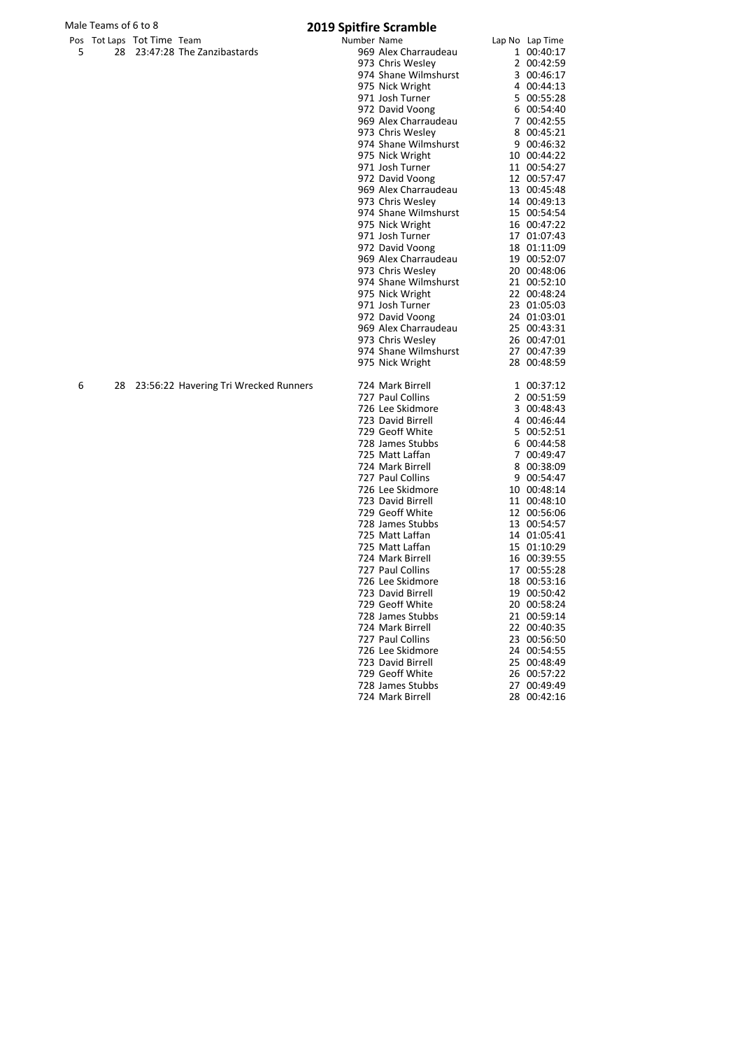## Male Teams of 6 to 8<br>
Pos Tot Laps Tot Time Team **1998** 2019 Spitfire Scramble

|  | POS TOLLADS TOLTHILE TEAM |                               |
|--|---------------------------|-------------------------------|
|  |                           | 28 23:47:28 The Zanzibastards |

|     |    |                                       | opitule occurriole   |                 |
|-----|----|---------------------------------------|----------------------|-----------------|
| Pos |    | Tot Laps Tot Time Team                | Number Name          | Lap No Lap Time |
| 5   | 28 | 23:47:28 The Zanzibastards            | 969 Alex Charraudeau | 1 00:40:17      |
|     |    |                                       | 973 Chris Wesley     | 2 00:42:59      |
|     |    |                                       | 974 Shane Wilmshurst | 3 00:46:17      |
|     |    |                                       | 975 Nick Wright      | 4 00:44:13      |
|     |    |                                       | 971 Josh Turner      | 5 00:55:28      |
|     |    |                                       | 972 David Voong      | 6 00:54:40      |
|     |    |                                       | 969 Alex Charraudeau | 7 00:42:55      |
|     |    |                                       | 973 Chris Wesley     | 8 00:45:21      |
|     |    |                                       | 974 Shane Wilmshurst | 9 00:46:32      |
|     |    |                                       | 975 Nick Wright      | 10 00:44:22     |
|     |    |                                       | 971 Josh Turner      | 11 00:54:27     |
|     |    |                                       | 972 David Voong      | 12 00:57:47     |
|     |    |                                       | 969 Alex Charraudeau | 13 00:45:48     |
|     |    |                                       | 973 Chris Wesley     | 14 00:49:13     |
|     |    |                                       | 974 Shane Wilmshurst | 15 00:54:54     |
|     |    |                                       | 975 Nick Wright      | 16 00:47:22     |
|     |    |                                       | 971 Josh Turner      | 17 01:07:43     |
|     |    |                                       | 972 David Voong      | 18 01:11:09     |
|     |    |                                       | 969 Alex Charraudeau | 19 00:52:07     |
|     |    |                                       | 973 Chris Wesley     | 20 00:48:06     |
|     |    |                                       | 974 Shane Wilmshurst | 21 00:52:10     |
|     |    |                                       | 975 Nick Wright      | 22 00:48:24     |
|     |    |                                       | 971 Josh Turner      | 23 01:05:03     |
|     |    |                                       | 972 David Voong      | 24 01:03:01     |
|     |    |                                       | 969 Alex Charraudeau | 25 00:43:31     |
|     |    |                                       | 973 Chris Wesley     | 26 00:47:01     |
|     |    |                                       | 974 Shane Wilmshurst | 27 00:47:39     |
|     |    |                                       | 975 Nick Wright      | 28 00:48:59     |
| 6   | 28 | 23:56:22 Havering Tri Wrecked Runners | 724 Mark Birrell     | 1 00:37:12      |
|     |    |                                       | 727 Paul Collins     | 2 00:51:59      |
|     |    |                                       | 726 Lee Skidmore     | 3 00:48:43      |
|     |    |                                       | 723 David Birrell    | 4 00:46:44      |
|     |    |                                       | 729 Geoff White      | 5 00:52:51      |
|     |    |                                       | 728 James Stubbs     | 6 00:44:58      |
|     |    |                                       | 725 Matt Laffan      | 7 00:49:47      |
|     |    |                                       | 724 Mark Birrell     | 8 00:38:09      |
|     |    |                                       | 727 Paul Collins     | 9 00:54:47      |
|     |    |                                       | 726 Lee Skidmore     | 10 00:48:14     |
|     |    |                                       | 723 David Birrell    | 11 00:48:10     |
|     |    |                                       | 729 Geoff White      | 12 00:56:06     |
|     |    |                                       | 728 James Stubbs     | 13 00:54:57     |
|     |    |                                       | 725 Matt Laffan      | 14 01:05:41     |
|     |    |                                       | 725 Matt Laffan      | 15 01:10:29     |
|     |    |                                       | 724 Mark Birrell     | 16 00:39:55     |
|     |    |                                       | 727 Paul Collins     | 17 00:55:28     |
|     |    |                                       | 726 Lee Skidmore     | 18 00:53:16     |
|     |    |                                       | 723 David Birrell    | 19 00:50:42     |
|     |    |                                       | 729 Geoff White      | 20 00:58:24     |
|     |    |                                       | 728 James Stubbs     | 21 00:59:14     |
|     |    |                                       | 724 Mark Birrell     | 22 00:40:35     |
|     |    |                                       | 727 Paul Collins     | 23 00:56:50     |
|     |    |                                       | 726 Lee Skidmore     | 24 00:54:55     |
|     |    |                                       | 723 David Birrell    | 25 00:48:49     |
|     |    |                                       | 729 Geoff White      | 26 00:57:22     |
|     |    |                                       | 728 James Stubbs     | 27 00:49:49     |
|     |    |                                       | 724 Mark Birrell     | 28 00:42:16     |
|     |    |                                       |                      |                 |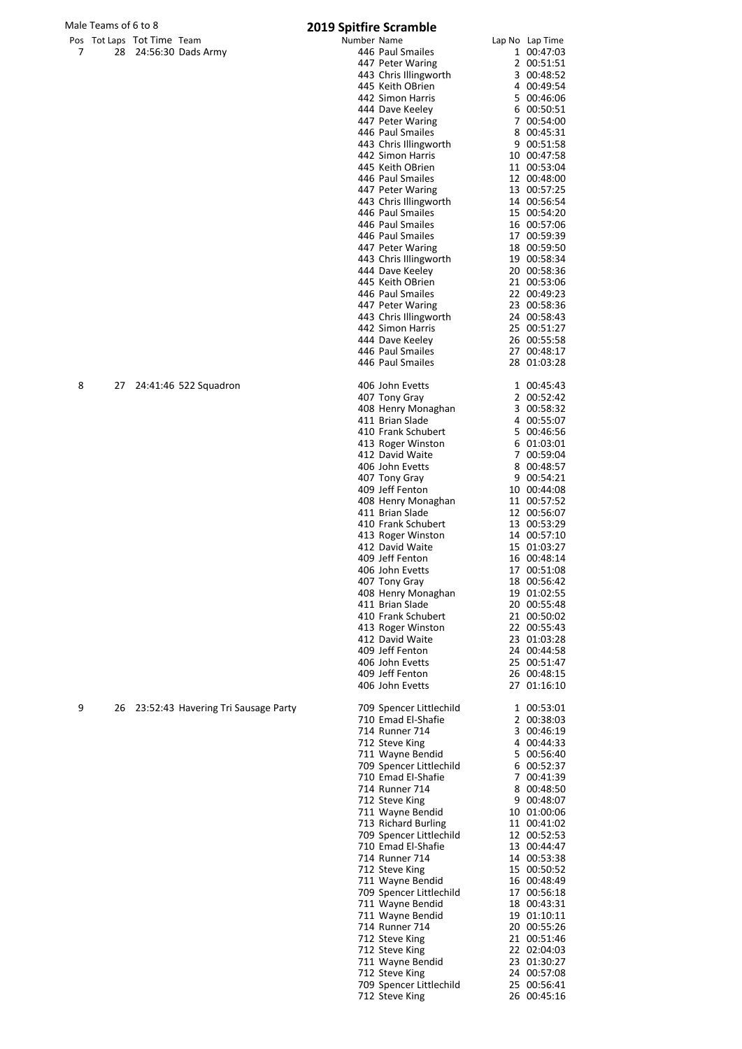## Male Teams of 6 to 8

|   | 1ale Teams of 6 to 8 |                            |                                     | 2019 Spitfire Scramble                        |                            |
|---|----------------------|----------------------------|-------------------------------------|-----------------------------------------------|----------------------------|
|   |                      | Pos Tot Laps Tot Time Team |                                     | Number Name                                   | Lap No Lap Time            |
| 7 |                      |                            | 28 24:56:30 Dads Army               | 446 Paul Smailes<br>447 Peter Waring          | 1 00:47:03<br>2 00:51:51   |
|   |                      |                            |                                     | 443 Chris Illingworth                         | 3 00:48:52                 |
|   |                      |                            |                                     | 445 Keith OBrien                              | 4 00:49:54                 |
|   |                      |                            |                                     | 442 Simon Harris                              | 5 00:46:06                 |
|   |                      |                            |                                     | 444 Dave Keeley                               | 6 00:50:51                 |
|   |                      |                            |                                     | 447 Peter Waring<br>446 Paul Smailes          | 7 00:54:00<br>8 00:45:31   |
|   |                      |                            |                                     | 443 Chris Illingworth                         | 9 00:51:58                 |
|   |                      |                            |                                     | 442 Simon Harris                              | 10 00:47:58                |
|   |                      |                            |                                     | 445 Keith OBrien                              | 11 00:53:04                |
|   |                      |                            |                                     | 446 Paul Smailes                              | 12 00:48:00                |
|   |                      |                            |                                     | 447 Peter Waring<br>443 Chris Illingworth     | 13 00:57:25<br>14 00:56:54 |
|   |                      |                            |                                     | 446 Paul Smailes                              | 15 00:54:20                |
|   |                      |                            |                                     | 446 Paul Smailes                              | 16 00:57:06                |
|   |                      |                            |                                     | 446 Paul Smailes                              | 17 00:59:39                |
|   |                      |                            |                                     | 447 Peter Waring                              | 18 00:59:50                |
|   |                      |                            |                                     | 443 Chris Illingworth                         | 19 00:58:34<br>20 00:58:36 |
|   |                      |                            |                                     | 444 Dave Keeley<br>445 Keith OBrien           | 21 00:53:06                |
|   |                      |                            |                                     | 446 Paul Smailes                              | 22 00:49:23                |
|   |                      |                            |                                     | 447 Peter Waring                              | 23 00:58:36                |
|   |                      |                            |                                     | 443 Chris Illingworth                         | 24 00:58:43                |
|   |                      |                            |                                     | 442 Simon Harris                              | 25 00:51:27                |
|   |                      |                            |                                     | 444 Dave Keeley<br>446 Paul Smailes           | 26 00:55:58<br>27 00:48:17 |
|   |                      |                            |                                     | 446 Paul Smailes                              | 28 01:03:28                |
| 8 | 27                   |                            | 24:41:46 522 Squadron               | 406 John Evetts                               | 1 00:45:43                 |
|   |                      |                            |                                     | 407 Tony Gray<br>408 Henry Monaghan           | 2 00:52:42<br>3 00:58:32   |
|   |                      |                            |                                     | 411 Brian Slade                               | 4 00:55:07                 |
|   |                      |                            |                                     | 410 Frank Schubert                            | 5 00:46:56                 |
|   |                      |                            |                                     | 413 Roger Winston                             | 6 01:03:01                 |
|   |                      |                            |                                     | 412 David Waite                               | 7 00:59:04                 |
|   |                      |                            |                                     | 406 John Evetts                               | 8 00:48:57                 |
|   |                      |                            |                                     | 407 Tony Gray<br>409 Jeff Fenton              | 9 00:54:21<br>10 00:44:08  |
|   |                      |                            |                                     | 408 Henry Monaghan                            | 11 00:57:52                |
|   |                      |                            |                                     | 411 Brian Slade                               | 12 00:56:07                |
|   |                      |                            |                                     | 410 Frank Schubert                            | 13 00:53:29                |
|   |                      |                            |                                     | 413 Roger Winston                             | 14 00:57:10                |
|   |                      |                            |                                     | 412 David Waite<br>409 Jeff Fenton            | 15 01:03:27<br>16 00:48:14 |
|   |                      |                            |                                     | 406 John Evetts                               | 17 00:51:08                |
|   |                      |                            |                                     | 407 Tony Gray                                 | 18 00:56:42                |
|   |                      |                            |                                     | 408 Henry Monaghan                            | 19 01:02:55                |
|   |                      |                            |                                     | 411 Brian Slade                               | 20 00:55:48                |
|   |                      |                            |                                     | 410 Frank Schubert<br>413 Roger Winston       | 21 00:50:02<br>22 00:55:43 |
|   |                      |                            |                                     | 412 David Waite                               | 23 01:03:28                |
|   |                      |                            |                                     | 409 Jeff Fenton                               | 24 00:44:58                |
|   |                      |                            |                                     | 406 John Evetts                               | 25 00:51:47                |
|   |                      |                            |                                     | 409 Jeff Fenton<br>406 John Evetts            | 26 00:48:15<br>27 01:16:10 |
|   |                      |                            |                                     |                                               |                            |
| 9 | 26                   |                            | 23:52:43 Havering Tri Sausage Party | 709 Spencer Littlechild<br>710 Emad El-Shafie | 1 00:53:01<br>2 00:38:03   |
|   |                      |                            |                                     | 714 Runner 714                                | 3 00:46:19                 |
|   |                      |                            |                                     | 712 Steve King                                | 4 00:44:33                 |
|   |                      |                            |                                     | 711 Wayne Bendid                              | 5 00:56:40                 |
|   |                      |                            |                                     | 709 Spencer Littlechild                       | 6 00:52:37                 |
|   |                      |                            |                                     | 710 Emad El-Shafie<br>714 Runner 714          | 7 00:41:39<br>8 00:48:50   |
|   |                      |                            |                                     | 712 Steve King                                | 9 00:48:07                 |
|   |                      |                            |                                     | 711 Wayne Bendid                              | 10 01:00:06                |
|   |                      |                            |                                     | 713 Richard Burling                           | 11 00:41:02                |
|   |                      |                            |                                     | 709 Spencer Littlechild                       | 12 00:52:53                |
|   |                      |                            |                                     | 710 Emad El-Shafie<br>714 Runner 714          | 13 00:44:47                |
|   |                      |                            |                                     | 712 Steve King                                | 14 00:53:38<br>15 00:50:52 |
|   |                      |                            |                                     | 711 Wayne Bendid                              | 16 00:48:49                |
|   |                      |                            |                                     | 709 Spencer Littlechild                       | 17 00:56:18                |
|   |                      |                            |                                     | 711 Wayne Bendid                              | 18 00:43:31                |
|   |                      |                            |                                     | 711 Wayne Bendid                              | 19 01:10:11                |
|   |                      |                            |                                     | 714 Runner 714<br>712 Steve King              | 20 00:55:26<br>21 00:51:46 |
|   |                      |                            |                                     | 712 Steve King                                | 22 02:04:03                |
|   |                      |                            |                                     | 711 Wayne Bendid                              | 23 01:30:27                |
|   |                      |                            |                                     | 712 Steve King                                | 24 00:57:08                |
|   |                      |                            |                                     | 709 Spencer Littlechild                       | 25 00:56:41                |
|   |                      |                            |                                     | 712 Steve King                                | 26 00:45:16                |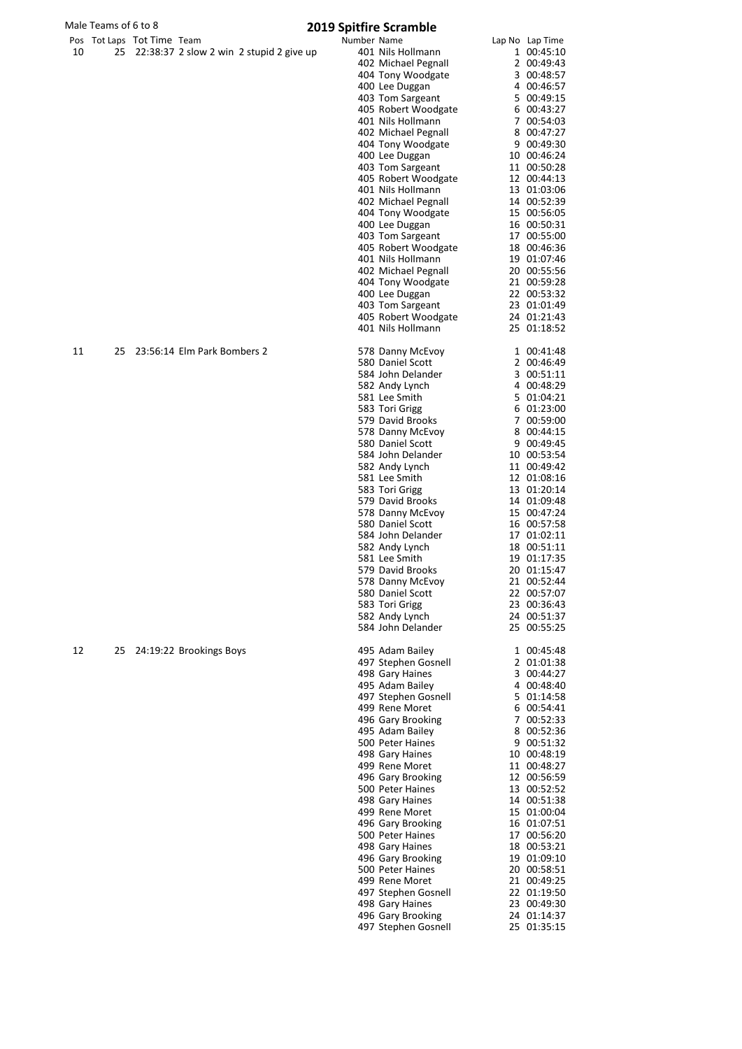|    | Male Teams of 6 to 8 |                            |                                          | <b>2019 Spitfire Scramble</b> |                                          |                            |
|----|----------------------|----------------------------|------------------------------------------|-------------------------------|------------------------------------------|----------------------------|
|    |                      | Pos Tot Laps Tot Time Team |                                          | Number Name                   |                                          | Lap No Lap Time            |
| 10 | 25                   |                            | 22:38:37 2 slow 2 win 2 stupid 2 give up |                               | 401 Nils Hollmann                        | 1 00:45:10                 |
|    |                      |                            |                                          |                               | 402 Michael Pegnall                      | 2 00:49:43<br>3 00:48:57   |
|    |                      |                            |                                          |                               | 404 Tony Woodgate<br>400 Lee Duggan      | 4 00:46:57                 |
|    |                      |                            |                                          |                               | 403 Tom Sargeant                         | 5 00:49:15                 |
|    |                      |                            |                                          |                               | 405 Robert Woodgate                      | 6 00:43:27                 |
|    |                      |                            |                                          |                               | 401 Nils Hollmann                        | 7 00:54:03                 |
|    |                      |                            |                                          |                               | 402 Michael Pegnall                      | 8 00:47:27                 |
|    |                      |                            |                                          |                               | 404 Tony Woodgate                        | 9 00:49:30                 |
|    |                      |                            |                                          |                               | 400 Lee Duggan                           | 10 00:46:24                |
|    |                      |                            |                                          |                               | 403 Tom Sargeant<br>405 Robert Woodgate  | 11 00:50:28<br>12 00:44:13 |
|    |                      |                            |                                          |                               | 401 Nils Hollmann                        | 13 01:03:06                |
|    |                      |                            |                                          |                               | 402 Michael Pegnall                      | 14 00:52:39                |
|    |                      |                            |                                          |                               | 404 Tony Woodgate                        | 15 00:56:05                |
|    |                      |                            |                                          |                               | 400 Lee Duggan                           | 16 00:50:31                |
|    |                      |                            |                                          |                               | 403 Tom Sargeant                         | 17 00:55:00                |
|    |                      |                            |                                          |                               | 405 Robert Woodgate<br>401 Nils Hollmann | 18 00:46:36<br>19 01:07:46 |
|    |                      |                            |                                          |                               | 402 Michael Pegnall                      | 20 00:55:56                |
|    |                      |                            |                                          |                               | 404 Tony Woodgate                        | 21 00:59:28                |
|    |                      |                            |                                          |                               | 400 Lee Duggan                           | 22 00:53:32                |
|    |                      |                            |                                          |                               | 403 Tom Sargeant                         | 23 01:01:49                |
|    |                      |                            |                                          |                               | 405 Robert Woodgate                      | 24 01:21:43                |
|    |                      |                            |                                          |                               | 401 Nils Hollmann                        | 25 01:18:52                |
| 11 | 25                   |                            | 23:56:14 Elm Park Bombers 2              |                               | 578 Danny McEvoy                         | 1 00:41:48                 |
|    |                      |                            |                                          |                               | 580 Daniel Scott<br>584 John Delander    | 2 00:46:49<br>3 00:51:11   |
|    |                      |                            |                                          |                               | 582 Andy Lynch                           | 4 00:48:29                 |
|    |                      |                            |                                          |                               | 581 Lee Smith                            | 5 01:04:21                 |
|    |                      |                            |                                          |                               | 583 Tori Grigg                           | 6 01:23:00                 |
|    |                      |                            |                                          |                               | 579 David Brooks                         | 7 00:59:00                 |
|    |                      |                            |                                          |                               | 578 Danny McEvoy                         | 8 00:44:15                 |
|    |                      |                            |                                          |                               | 580 Daniel Scott<br>584 John Delander    | 9 00:49:45                 |
|    |                      |                            |                                          |                               | 582 Andy Lynch                           | 10 00:53:54<br>11 00:49:42 |
|    |                      |                            |                                          |                               | 581 Lee Smith                            | 12 01:08:16                |
|    |                      |                            |                                          |                               | 583 Tori Grigg                           | 13 01:20:14                |
|    |                      |                            |                                          |                               | 579 David Brooks                         | 14 01:09:48                |
|    |                      |                            |                                          |                               | 578 Danny McEvoy                         | 15 00:47:24                |
|    |                      |                            |                                          |                               | 580 Daniel Scott                         | 16 00:57:58                |
|    |                      |                            |                                          |                               | 584 John Delander                        | 17 01:02:11                |
|    |                      |                            |                                          |                               | 582 Andy Lynch<br>581 Lee Smith          | 18 00:51:11<br>19 01:17:35 |
|    |                      |                            |                                          |                               | 579 David Brooks                         | 20 01:15:47                |
|    |                      |                            |                                          |                               | 578 Danny McEvoy                         | 21 00:52:44                |
|    |                      |                            |                                          |                               | 580 Daniel Scott                         | 22 00:57:07                |
|    |                      |                            |                                          |                               | 583 Tori Grigg                           | 23 00:36:43                |
|    |                      |                            |                                          |                               | 582 Andy Lynch<br>584 John Delander      | 24 00:51:37<br>25 00:55:25 |
|    |                      |                            |                                          |                               |                                          |                            |
| 12 | 25                   |                            | 24:19:22 Brookings Boys                  |                               | 495 Adam Bailey<br>497 Stephen Gosnell   | 1 00:45:48                 |
|    |                      |                            |                                          |                               | 498 Gary Haines                          | 2 01:01:38<br>3 00:44:27   |
|    |                      |                            |                                          |                               | 495 Adam Bailey                          | 4 00:48:40                 |
|    |                      |                            |                                          |                               | 497 Stephen Gosnell                      | 5 01:14:58                 |
|    |                      |                            |                                          |                               | 499 Rene Moret                           | 6 00:54:41                 |
|    |                      |                            |                                          |                               | 496 Gary Brooking                        | 7 00:52:33                 |
|    |                      |                            |                                          |                               | 495 Adam Bailey                          | 8 00:52:36                 |
|    |                      |                            |                                          |                               | 500 Peter Haines                         | 9 00:51:32                 |
|    |                      |                            |                                          |                               | 498 Gary Haines<br>499 Rene Moret        | 10 00:48:19<br>11 00:48:27 |
|    |                      |                            |                                          |                               | 496 Gary Brooking                        | 12 00:56:59                |
|    |                      |                            |                                          |                               | 500 Peter Haines                         | 13 00:52:52                |
|    |                      |                            |                                          |                               | 498 Gary Haines                          | 14 00:51:38                |

498 Gary Haines 14 00:51:38<br>499 Rene Moret 15 01:00:04 499 Rene Moret 15 01:00:04<br>496 Gary Brooking 16 01:07:51 496 Gary Brooking 16 01:07:51<br>500 Peter Haines 17 00:56:20 500 Peter Haines 17 00:56:20<br>498 Gary Haines 18 00:53:21 498 Gary Haines 18 00:53:21<br>496 Gary Brooking 19 01:09:10 496 Gary Brooking 19 01:09:10<br>19 01:09:10<br>500 Peter Haines 20 00:58:51 500 Peter Haines 20 00:58:51 499 Rene Moret 21 00:49:25<br>497 Stephen Gosnell 22 01:19:50 497 Stephen Gosnell 22 01:19:50<br>498 Gary Haines 23 00:49:30 498 Gary Haines 23 00:49:30<br>496 Gary Brooking 24 01:14:37 496 Gary Brooking 24 01:14:37<br>497 Stephen Gosnell 25 01:35:15

497 Stephen Gosnell